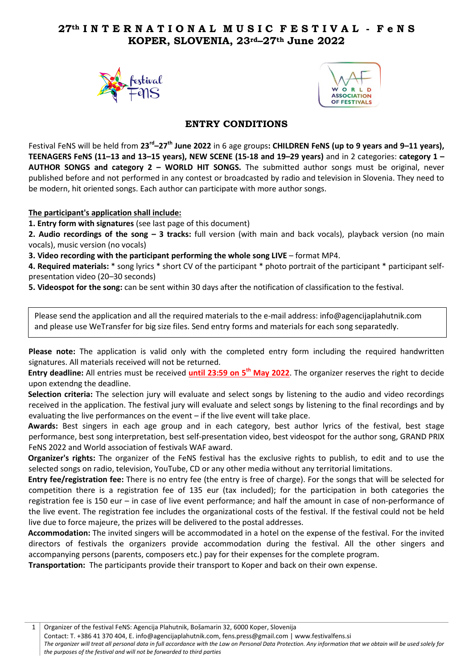## **27th I N T E R N A T I O N A L M U S I C F E S T I V A L - F e N S KOPER, SLOVENIA, 23rd–27th June 2022**





## **ENTRY CONDITIONS**

Festival FeNS will be held from 23<sup>rd</sup>-27<sup>th</sup> June 2022 in 6 age groups: CHILDREN FeNS (up to 9 years and 9–11 years), **TEENAGERS FeNS (11–13 and 13–15 years), NEW SCENE (15-18 and 19–29 years)** and in 2 categories: **category 1 – AUTHOR SONGS and category 2 – WORLD HIT SONGS.** The submitted author songs must be original, never published before and not performed in any contest or broadcasted by radio and television in Slovenia. They need to be modern, hit oriented songs. Each author can participate with more author songs.

**The participant's application shall include:**

**1. Entry form with signatures** (see last page of this document)

**2. Audio recordings of the song – 3 tracks:** full version (with main and back vocals), playback version (no main vocals), music version (no vocals)

**3. Video recording with the participant performing the whole song LIVE** – format MP4.

**4. Required materials:** \* song lyrics \* short CV of the participant \* photo portrait of the participant \* participant selfpresentation video (20–30 seconds)

**5. Videospot for the song:** can be sent within 30 days after the notification of classification to the festival.

Please send the application and all the required materials to the e-mail address: info@agencijaplahutnik.com and please use WeTransfer for big size files. Send entry forms and materials for each song separatedly.

Please note: The application is valid only with the completed entry form including the required handwritten signatures. All materials received will not be returned.

**Entry deadline:** All entries must be received **until 23:59 on 5 th May 2022**. The organizer reserves the right to decide upon extendng the deadline.

**Selection criteria:** The selection jury will evaluate and select songs by listening to the audio and video recordings received in the application. The festival jury will evaluate and select songs by listening to the final recordings and by evaluating the live performances on the event – if the live event will take place.

**Awards:** Best singers in each age group and in each category, best author lyrics of the festival, best stage performance, best song interpretation, best self-presentation video, best videospot for the author song, GRAND PRIX FeNS 2022 and World association of festivals WAF award.

**Organizer's rights:** The organizer of the FeNS festival has the exclusive rights to publish, to edit and to use the selected songs on radio, television, YouTube, CD or any other media without any territorial limitations.

**Entry fee/registration fee:** There is no entry fee (the entry is free of charge). For the songs that will be selected for competition there is a registration fee of 135 eur (tax included); for the participation in both categories the registration fee is 150 eur – in case of live event performance; and half the amount in case of non-performance of the live event. The registration fee includes the organizational costs of the festival. If the festival could not be held live due to force majeure, the prizes will be delivered to the postal addresses.

**Accommodation:** The invited singers will be accommodated in a hotel on the expense of the festival. For the invited directors of festivals the organizers provide accommodation during the festival. All the other singers and accompanying persons (parents, composers etc.) pay for their expenses for the complete program.

**Transportation:** The participants provide their transport to Koper and back on their own expense.

1 | Organizer of the festival FeNS: Agencija Plahutnik, Bošamarin 32, 6000 Koper, Slovenija

Contact: T. +386 41 370 404, E. info@agencijaplahutnik.com, fens.press@gmail.com | www.festivalfens.si

*The organizer will treat all personal data in full accordance with the Law on Personal Data Protection. Any information that we obtain will be used solely for the purposes of the festival and will not be forwarded to third parties*